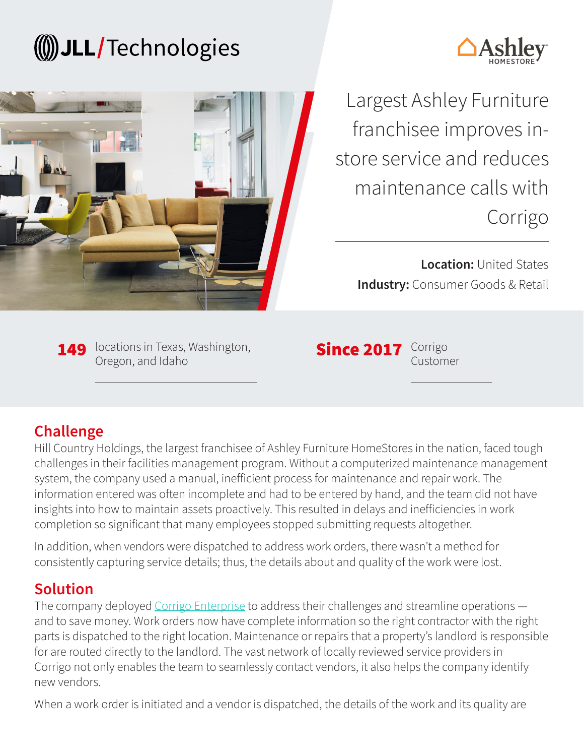# (()) JLL/Technologies





Largest Ashley Furniture franchisee improves instore service and reduces maintenance calls with Corrigo

**Location:** United States **Industry:** Consumer Goods & Retail

149 locations in Texas, Washington, Oregon, and Idaho

Since 2017 Corrigo

Customer

## **Challenge**

Hill Country Holdings, the largest franchisee of Ashley Furniture HomeStores in the nation, faced tough challenges in their facilities management program. Without a computerized maintenance management system, the company used a manual, inefficient process for maintenance and repair work. The information entered was often incomplete and had to be entered by hand, and the team did not have insights into how to maintain assets proactively. This resulted in delays and inefficiencies in work completion so significant that many employees stopped submitting requests altogether.

In addition, when vendors were dispatched to address work orders, there wasn't a method for consistently capturing service details; thus, the details about and quality of the work were lost.

### **Solution**

The company deployed [Corrigo Enterprise](https://www.corrigo.com/resources/corrigo-enterprise-features/) to address their challenges and streamline operations – and to save money. Work orders now have complete information so the right contractor with the right parts is dispatched to the right location. Maintenance or repairs that a property's landlord is responsible for are routed directly to the landlord. The vast network of locally reviewed service providers in Corrigo not only enables the team to seamlessly contact vendors, it also helps the company identify new vendors.

When a work order is initiated and a vendor is dispatched, the details of the work and its quality are